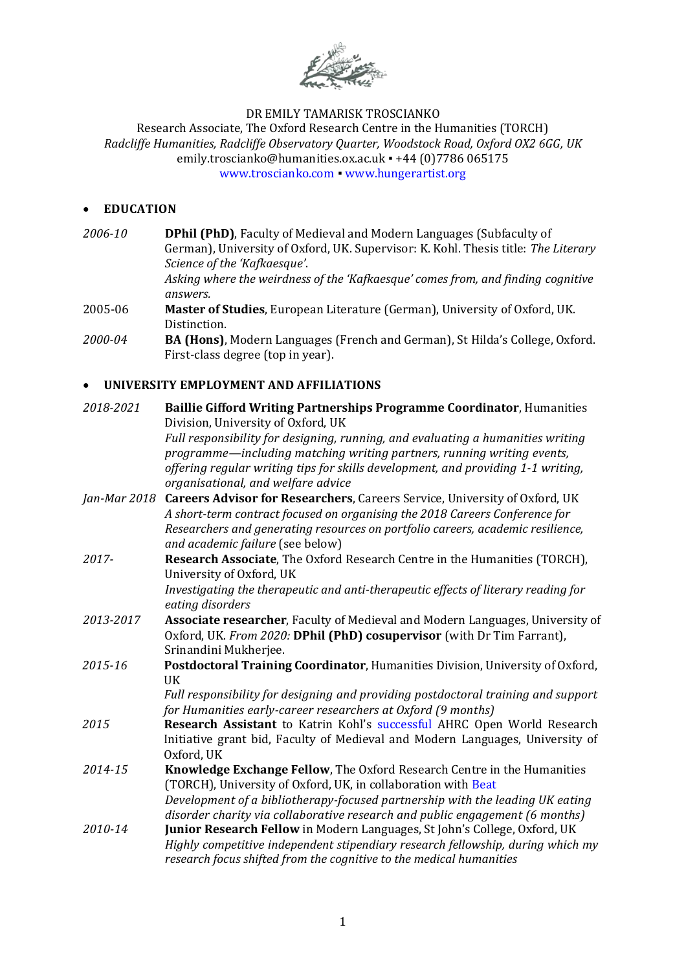

# DR EMILY TAMARISK TROSCIANKO

Research Associate, The Oxford Research Centre in the Humanities (TORCH) *Radcliffe Humanities, Radcliffe Observatory Quarter, Woodstock Road, Oxford OX2 6GG, UK* emily.troscianko@humanities.ox.ac.uk · +44 (0)7786 065175 [www.troscianko.com](http://www.troscianko.com/) ▪ [www.hungerartist.org](http://www.hungerartist.org/)

### • **EDUCATION**

| 2006-10      | DPhil (PhD), Faculty of Medieval and Modern Languages (Subfaculty of<br>German), University of Oxford, UK. Supervisor: K. Kohl. Thesis title: The Literary<br>Science of the 'Kafkaesque'.<br>Asking where the weirdness of the 'Kafkaesque' comes from, and finding cognitive                            |
|--------------|-----------------------------------------------------------------------------------------------------------------------------------------------------------------------------------------------------------------------------------------------------------------------------------------------------------|
|              | answers.                                                                                                                                                                                                                                                                                                  |
| 2005-06      | Master of Studies, European Literature (German), University of Oxford, UK.<br>Distinction.                                                                                                                                                                                                                |
| 2000-04      | BA (Hons), Modern Languages (French and German), St Hilda's College, Oxford.<br>First-class degree (top in year).                                                                                                                                                                                         |
|              | UNIVERSITY EMPLOYMENT AND AFFILIATIONS                                                                                                                                                                                                                                                                    |
| 2018-2021    | <b>Baillie Gifford Writing Partnerships Programme Coordinator, Humanities</b><br>Division, University of Oxford, UK                                                                                                                                                                                       |
|              | Full responsibility for designing, running, and evaluating a humanities writing<br>programme—including matching writing partners, running writing events,<br>offering regular writing tips for skills development, and providing 1-1 writing,<br>organisational, and welfare advice                       |
| Jan-Mar 2018 | Careers Advisor for Researchers, Careers Service, University of Oxford, UK<br>A short-term contract focused on organising the 2018 Careers Conference for<br>Researchers and generating resources on portfolio careers, academic resilience,<br>and academic failure (see below)                          |
| 2017-        | Research Associate, The Oxford Research Centre in the Humanities (TORCH),<br>University of Oxford, UK<br>Investigating the therapeutic and anti-therapeutic effects of literary reading for                                                                                                               |
| 2013-2017    | eating disorders<br>Associate researcher, Faculty of Medieval and Modern Languages, University of<br>Oxford, UK. From 2020: DPhil (PhD) cosupervisor (with Dr Tim Farrant),<br>Srinandini Mukherjee.                                                                                                      |
| 2015-16      | Postdoctoral Training Coordinator, Humanities Division, University of Oxford,<br><b>UK</b>                                                                                                                                                                                                                |
|              | Full responsibility for designing and providing postdoctoral training and support<br>for Humanities early-career researchers at Oxford (9 months)                                                                                                                                                         |
| 2015         | Research Assistant to Katrin Kohl's successful AHRC Open World Research<br>Initiative grant bid, Faculty of Medieval and Modern Languages, University of<br>Oxford, UK                                                                                                                                    |
| 2014-15      | Knowledge Exchange Fellow, The Oxford Research Centre in the Humanities<br>(TORCH), University of Oxford, UK, in collaboration with Beat<br>Development of a bibliotherapy-focused partnership with the leading UK eating<br>disorder charity via collaborative research and public engagement (6 months) |
| 2010-14      | Junior Research Fellow in Modern Languages, St John's College, Oxford, UK<br>Highly competitive independent stipendiary research fellowship, during which my<br>research focus shifted from the cognitive to the medical humanities                                                                       |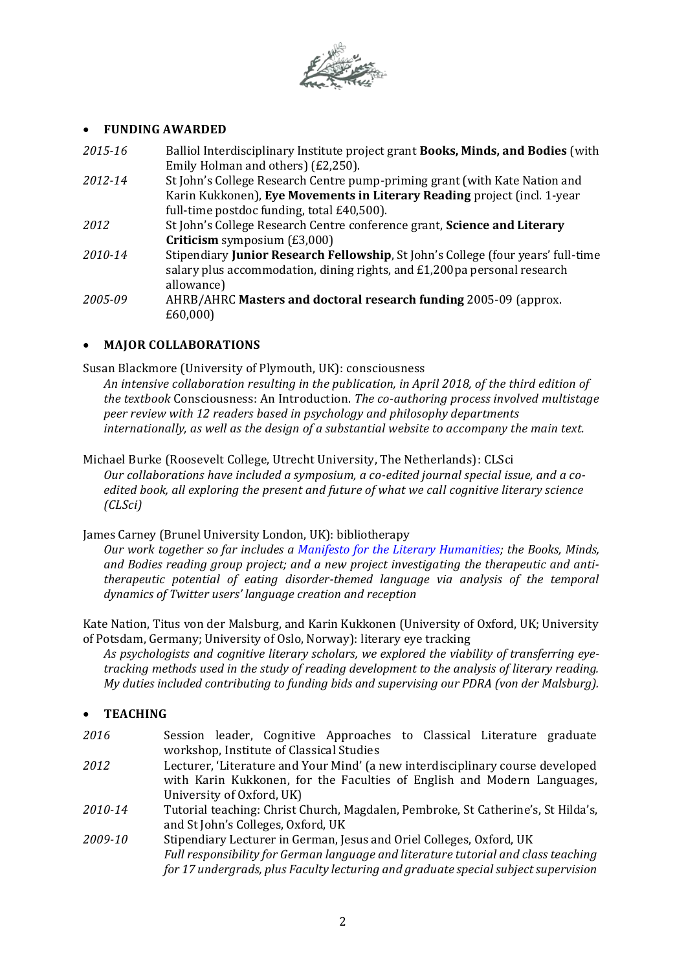

### • **FUNDING AWARDED**

| 2015-16 | Balliol Interdisciplinary Institute project grant Books, Minds, and Bodies (with |
|---------|----------------------------------------------------------------------------------|
|         | Emily Holman and others) (£2,250).                                               |
| 2012-14 | St John's College Research Centre pump-priming grant (with Kate Nation and       |
|         | Karin Kukkonen), Eye Movements in Literary Reading project (incl. 1-year         |
|         | full-time postdoc funding, total £40,500).                                       |
| 2012    | St John's College Research Centre conference grant, Science and Literary         |
|         | <b>Criticism</b> symposium $(E3,000)$                                            |
| 2010-14 | Stipendiary Junior Research Fellowship, St John's College (four years' full-time |
|         | salary plus accommodation, dining rights, and £1,200 pa personal research        |
|         | allowance)                                                                       |
| 2005-09 | AHRB/AHRC Masters and doctoral research funding 2005-09 (approx.                 |
|         | £60,000                                                                          |
|         |                                                                                  |

## • **MAJOR COLLABORATIONS**

Susan Blackmore (University of Plymouth, UK): consciousness

*An intensive collaboration resulting in the publication, in April 2018, of the third edition of the textbook* Consciousness: An Introduction. *The co-authoring process involved multistage peer review with 12 readers based in psychology and philosophy departments internationally, as well as the design of a substantial website to accompany the main text.*

Michael Burke (Roosevelt College, Utrecht University, The Netherlands): CLSci *Our collaborations have included a symposium, a co-edited journal special issue, and a coedited book, all exploring the present and future of what we call cognitive literary science (CLSci)*

James Carney (Brunel University London, UK): bibliotherapy

*Our work together so far includes a [Manifesto for the Literary Humanities;](https://www.researchgate.net/publication/316597260_MANIFESTO_FOR_THE_LITERARY_HUMANITIES) the Books, Minds, and Bodies reading group project; and a new project investigating the therapeutic and antitherapeutic potential of eating disorder-themed language via analysis of the temporal dynamics of Twitter users' language creation and reception*

Kate Nation, Titus von der Malsburg, and Karin Kukkonen (University of Oxford, UK; University of Potsdam, Germany; University of Oslo, Norway): literary eye tracking

*As psychologists and cognitive literary scholars, we explored the viability of transferring eyetracking methods used in the study of reading development to the analysis of literary reading. My duties included contributing to funding bids and supervising our PDRA (von der Malsburg).*

- **TEACHING**
- *2016* Session leader, Cognitive Approaches to Classical Literature graduate workshop, Institute of Classical Studies
- *2012* Lecturer, 'Literature and Your Mind' (a new interdisciplinary course developed with Karin Kukkonen, for the Faculties of English and Modern Languages, University of Oxford, UK)
- *2010-14* Tutorial teaching: Christ Church, Magdalen, Pembroke, St Catherine's, St Hilda's, and St John's Colleges, Oxford, UK
- *2009-10* Stipendiary Lecturer in German, Jesus and Oriel Colleges, Oxford, UK *Full responsibility for German language and literature tutorial and class teaching for 17 undergrads, plus Faculty lecturing and graduate special subject supervision*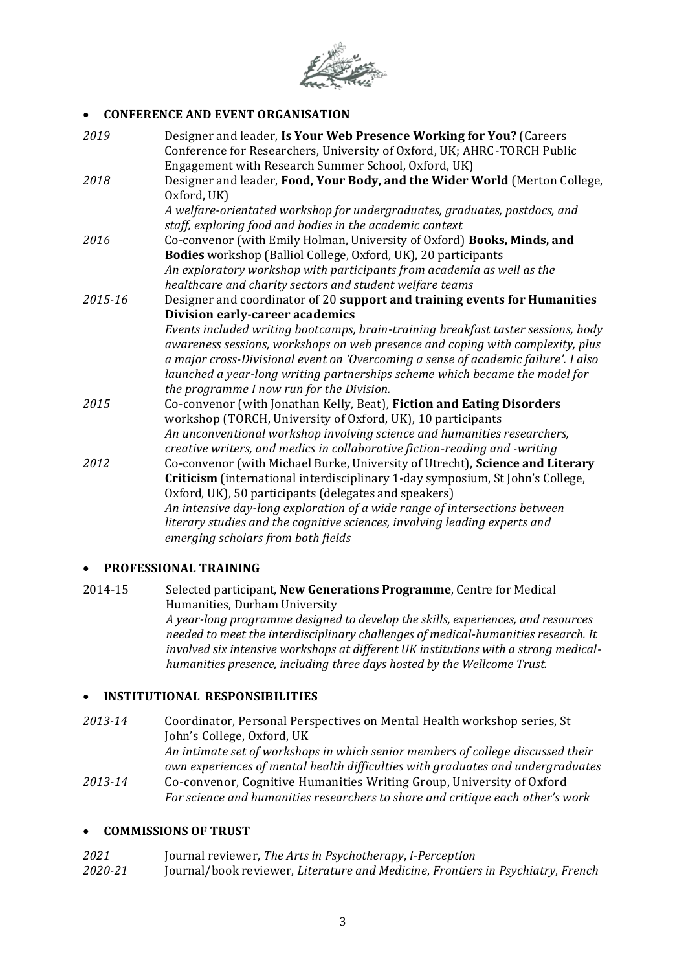

# • **CONFERENCE AND EVENT ORGANISATION**

| Designer and leader, Is Your Web Presence Working for You? (Careers<br>Conference for Researchers, University of Oxford, UK; AHRC-TORCH Public                                                                                                                                                                                                                                        |
|---------------------------------------------------------------------------------------------------------------------------------------------------------------------------------------------------------------------------------------------------------------------------------------------------------------------------------------------------------------------------------------|
| Engagement with Research Summer School, Oxford, UK)                                                                                                                                                                                                                                                                                                                                   |
| Designer and leader, Food, Your Body, and the Wider World (Merton College,<br>Oxford, UK)                                                                                                                                                                                                                                                                                             |
| A welfare-orientated workshop for undergraduates, graduates, postdocs, and                                                                                                                                                                                                                                                                                                            |
| staff, exploring food and bodies in the academic context                                                                                                                                                                                                                                                                                                                              |
| Co-convenor (with Emily Holman, University of Oxford) Books, Minds, and                                                                                                                                                                                                                                                                                                               |
| Bodies workshop (Balliol College, Oxford, UK), 20 participants                                                                                                                                                                                                                                                                                                                        |
| An exploratory workshop with participants from academia as well as the                                                                                                                                                                                                                                                                                                                |
| healthcare and charity sectors and student welfare teams                                                                                                                                                                                                                                                                                                                              |
| Designer and coordinator of 20 support and training events for Humanities                                                                                                                                                                                                                                                                                                             |
| Division early-career academics                                                                                                                                                                                                                                                                                                                                                       |
| Events included writing bootcamps, brain-training breakfast taster sessions, body<br>awareness sessions, workshops on web presence and coping with complexity, plus<br>a major cross-Divisional event on 'Overcoming a sense of academic failure'. I also<br>launched a year-long writing partnerships scheme which became the model for<br>the programme I now run for the Division. |
| Co-convenor (with Jonathan Kelly, Beat), Fiction and Eating Disorders<br>workshop (TORCH, University of Oxford, UK), 10 participants                                                                                                                                                                                                                                                  |
| An unconventional workshop involving science and humanities researchers,<br>creative writers, and medics in collaborative fiction-reading and -writing                                                                                                                                                                                                                                |
| Co-convenor (with Michael Burke, University of Utrecht), Science and Literary                                                                                                                                                                                                                                                                                                         |
| Criticism (international interdisciplinary 1-day symposium, St John's College,                                                                                                                                                                                                                                                                                                        |
| Oxford, UK), 50 participants (delegates and speakers)                                                                                                                                                                                                                                                                                                                                 |
| An intensive day-long exploration of a wide range of intersections between                                                                                                                                                                                                                                                                                                            |
| literary studies and the cognitive sciences, involving leading experts and                                                                                                                                                                                                                                                                                                            |
| emerging scholars from both fields                                                                                                                                                                                                                                                                                                                                                    |
|                                                                                                                                                                                                                                                                                                                                                                                       |

## • **PROFESSIONAL TRAINING**

2014-15 Selected participant, **New Generations Programme**, Centre for Medical Humanities, Durham University *A year-long programme designed to develop the skills, experiences, and resources needed to meet the interdisciplinary challenges of medical-humanities research. It involved six intensive workshops at different UK institutions with a strong medicalhumanities presence, including three days hosted by the Wellcome Trust.*

## • **INSTITUTIONAL RESPONSIBILITIES**

*2013-14* Coordinator, Personal Perspectives on Mental Health workshop series, St John's College, Oxford, UK *An intimate set of workshops in which senior members of college discussed their own experiences of mental health difficulties with graduates and undergraduates 2013-14* Co-convenor, Cognitive Humanities Writing Group, University of Oxford *For science and humanities researchers to share and critique each other's work*

## • **COMMISSIONS OF TRUST**

*2021* Journal reviewer, *The Arts in Psychotherapy*, *i-Perception 2020-21* Journal/book reviewer, *Literature and Medicine*, *Frontiers in Psychiatry*, *French*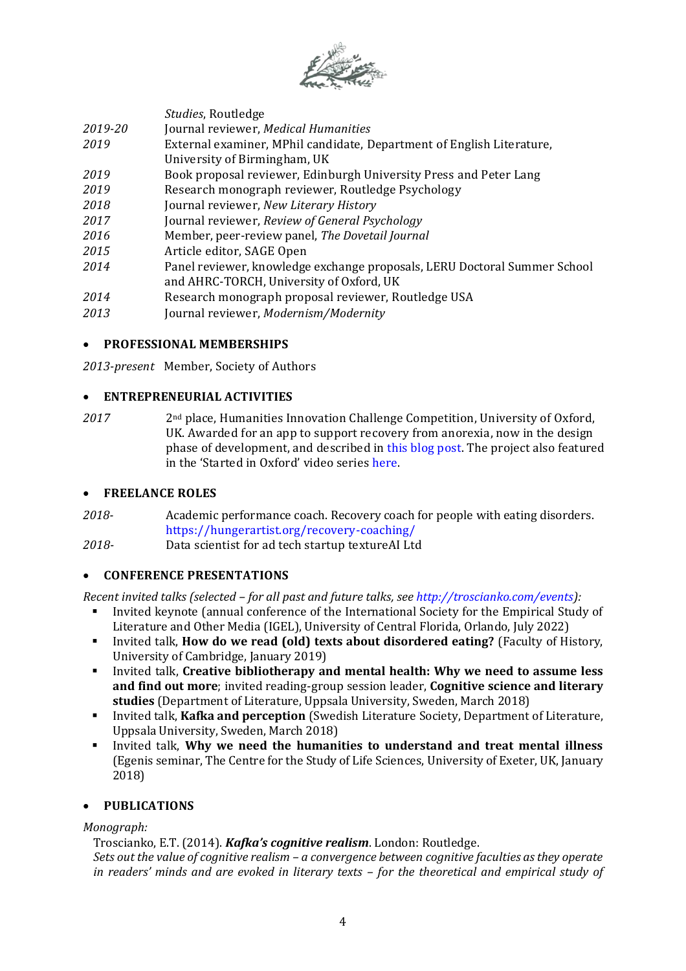

*Studies*, Routledge

- *2019-20* Journal reviewer, *Medical Humanities*
- *2019* External examiner, MPhil candidate, Department of English Literature, University of Birmingham, UK
- *2019* Book proposal reviewer, Edinburgh University Press and Peter Lang
- *2019* Research monograph reviewer, Routledge Psychology
- *2018* Journal reviewer, *New Literary History*
- *2017* Journal reviewer, *Review of General Psychology*
- *2016* Member, peer-review panel, *The Dovetail Journal*
- *2015* Article editor, SAGE Open
- *2014* Panel reviewer, knowledge exchange proposals, LERU Doctoral Summer School and AHRC-TORCH, University of Oxford, UK
- *2014* Research monograph proposal reviewer, Routledge USA
- *2013* Journal reviewer, *Modernism/Modernity*

# • **PROFESSIONAL MEMBERSHIPS**

*2013-present* Member, Society of Authors

# • **ENTREPRENEURIAL ACTIVITIES**

*2017* 2nd place, Humanities Innovation Challenge Competition, University of Oxford, UK. Awarded for an app to support recovery from anorexia, now in the design phase of development, and described in this [blog post.](https://www.psychologytoday.com/blog/hunger-artist/201706/app-recovery-anorexia) The project also featured in the 'Started in Oxford' video series [here.](http://www.ox.ac.uk/research/started-in-oxford/weve-been-treating-anorexia-all-wrong)

## • **FREELANCE ROLES**

*2018-* Academic performance coach. Recovery coach for people with eating disorders. <https://hungerartist.org/recovery-coaching/>

*2018-* Data scientist for ad tech startup textureAI Ltd

## • **CONFERENCE PRESENTATIONS**

*Recent invited talks (selected – for all past and future talks, se[e http://troscianko.com/events\)](http://troscianko.com/events):*

- Invited keynote (annual conference of the International Society for the Empirical Study of Literature and Other Media (IGEL), University of Central Florida, Orlando, July 2022)
- Invited talk, **How do we read (old) texts about disordered eating?** (Faculty of History, University of Cambridge, January 2019)
- Invited talk, **Creative bibliotherapy and mental health: Why we need to assume less and find out more**; invited reading-group session leader, **Cognitive science and literary studies** (Department of Literature, Uppsala University, Sweden, March 2018)
- Invited talk, **Kafka and perception** (Swedish Literature Society, Department of Literature, Uppsala University, Sweden, March 2018)
- Invited talk, **Why we need the humanities to understand and treat mental illness** (Egenis seminar, The Centre for the Study of Life Sciences, University of Exeter, UK, January 2018)

# • **PUBLICATIONS**

*Monograph:*

Troscianko, E.T. (2014). *Kafka's cognitive realism*. London: Routledge.

*Sets out the value of cognitive realism – a convergence between cognitive faculties as they operate in readers' minds and are evoked in literary texts – for the theoretical and empirical study of*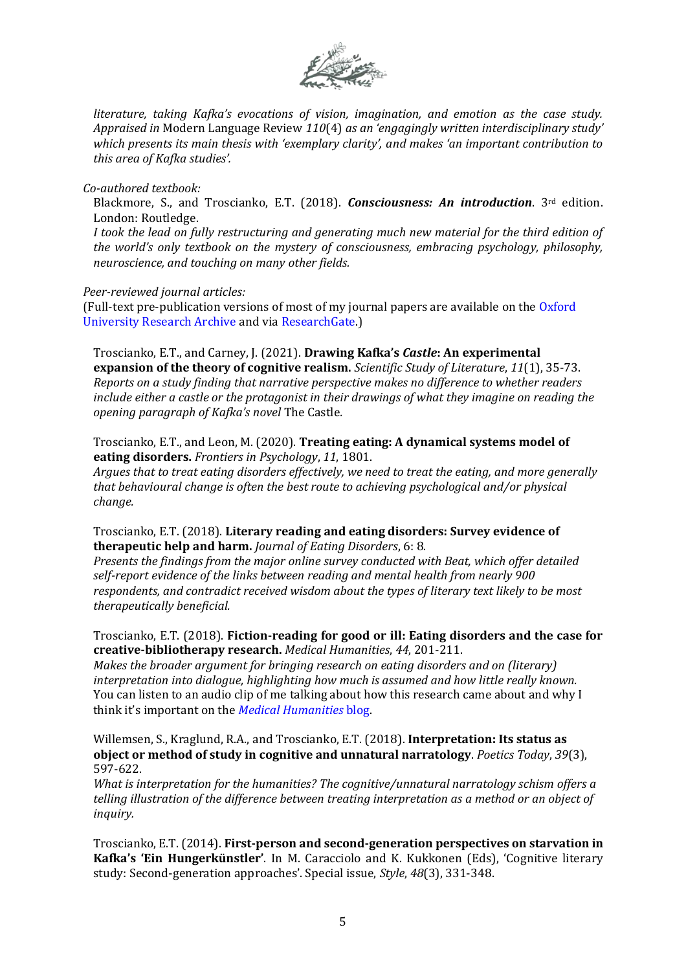

*literature, taking Kafka's evocations of vision, imagination, and emotion as the case study. Appraised in* Modern Language Review *110*(4) *as an 'engagingly written interdisciplinary study' which presents its main thesis with 'exemplary clarity', and makes 'an important contribution to this area of Kafka studies'.*

#### *Co-authored textbook:*

Blackmore, S., and Troscianko, E.T. (2018). *Consciousness: An introduction*. 3rd edition. London: Routledge.

*I took the lead on fully restructuring and generating much new material for the third edition of the world's only textbook on the mystery of consciousness, embracing psychology, philosophy, neuroscience, and touching on many other fields.*

### *Peer-reviewed journal articles:*

(Full-text pre-publication versions of most of my journal papers are available on the [Oxford](https://bit.ly/3aY4AIE)  [University Research Archive](https://bit.ly/3aY4AIE) and via [ResearchGate.](https://www.researchgate.net/profile/Emily_Troscianko))

Troscianko, E.T., and Carney, J. (2021). **Drawing Kafka's** *Castle***: An experimental expansion of the theory of cognitive realism.** *Scientific Study of Literature*, *11*(1), 35-73. *Reports on a study finding that narrative perspective makes no difference to whether readers include either a castle or the protagonist in their drawings of what they imagine on reading the opening paragraph of Kafka's novel* The Castle*.*

Troscianko, E.T., and Leon, M. (2020). **Treating eating: A dynamical systems model of eating disorders.** *Frontiers in Psychology*, *11*, 1801.

*Argues that to treat eating disorders effectively, we need to treat the eating, and more generally that behavioural change is often the best route to achieving psychological and/or physical change.*

Troscianko, E.T. (2018). **Literary reading and eating disorders: Survey evidence of therapeutic help and harm.** *Journal of Eating Disorders*, 6: 8.

*Presents the findings from the major online survey conducted with Beat, which offer detailed self-report evidence of the links between reading and mental health from nearly 900 respondents, and contradict received wisdom about the types of literary text likely to be most therapeutically beneficial.*

### Troscianko, E.T. (2018). **Fiction-reading for good or ill: Eating disorders and the case for creative-bibliotherapy research.** *Medical Humanities*, *44*, 201-211.

*Makes the broader argument for bringing research on eating disorders and on (literary) interpretation into dialogue, highlighting how much is assumed and how little really known.* You can listen to an audio clip of me talking about how this research came about and why I think it's important on the *[Medical Humanities](https://blogs.bmj.com/medical-humanities/2018/09/05/fiction-reading-for-good-or-ill/)* blog.

Willemsen, S., Kraglund, R.A., and Troscianko, E.T. (2018). **Interpretation: Its status as object or method of study in cognitive and unnatural narratology**. *Poetics Today*, *39*(3), 597-622.

*What is interpretation for the humanities? The cognitive/unnatural narratology schism offers a telling illustration of the difference between treating interpretation as a method or an object of inquiry.*

Troscianko, E.T. (2014). **First-person and second-generation perspectives on starvation in Kafka's 'Ein Hungerkünstler'**. In M. Caracciolo and K. Kukkonen (Eds), 'Cognitive literary study: Second-generation approaches'. Special issue, *Style*, *48*(3), 331-348.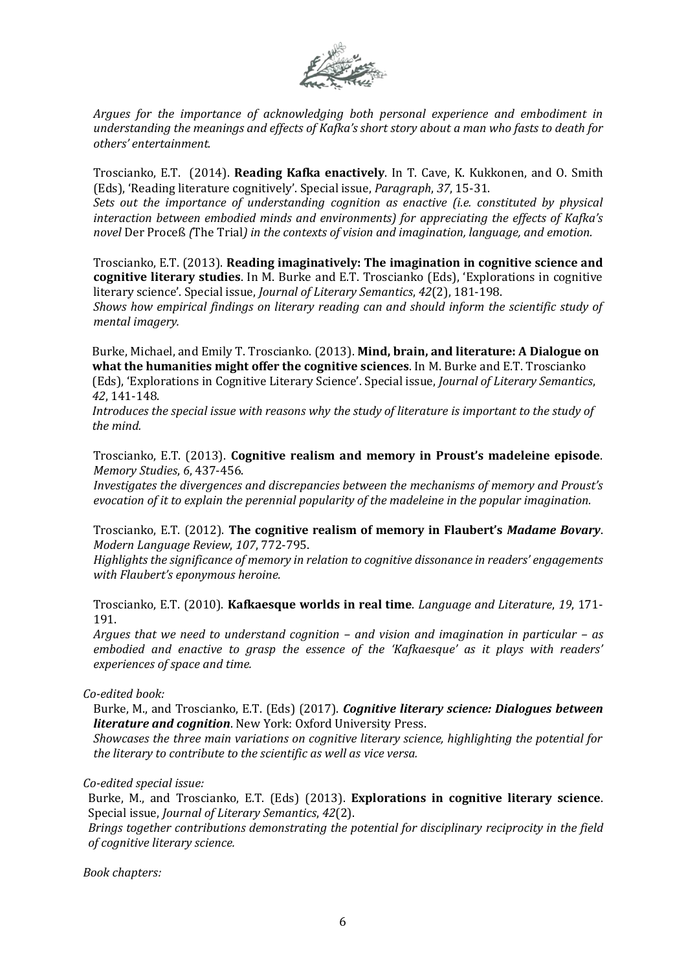

*Argues for the importance of acknowledging both personal experience and embodiment in understanding the meanings and effects of Kafka's short story about a man who fasts to death for others' entertainment.*

Troscianko, E.T. (2014). **Reading Kafka enactively**. In T. Cave, K. Kukkonen, and O. Smith (Eds), 'Reading literature cognitively'. Special issue, *Paragraph*, *37*, 15-31.

*Sets out the importance of understanding cognition as enactive (i.e. constituted by physical interaction between embodied minds and environments) for appreciating the effects of Kafka's novel* Der Proceß *(*The Trial*) in the contexts of vision and imagination, language, and emotion.*

Troscianko, E.T. (2013). **Reading imaginatively: The imagination in cognitive science and cognitive literary studies**. In M. Burke and E.T. Troscianko (Eds), 'Explorations in cognitive literary science'. Special issue, *Journal of Literary Semantics*, *42*(2), 181-198. *Shows how empirical findings on literary reading can and should inform the scientific study of mental imagery.*

Burke, Michael, and Emily T. Troscianko. (2013). **Mind, brain, and literature: A Dialogue on what the humanities might offer the cognitive sciences**. In M. Burke and E.T. Troscianko (Eds), 'Explorations in Cognitive Literary Science'. Special issue, *Journal of Literary Semantics*,

*42*, 141-148.

*Introduces the special issue with reasons why the study of literature is important to the study of the mind.*

Troscianko, E.T. (2013). **Cognitive realism and memory in Proust's madeleine episode**. *Memory Studies*, *6*, 437-456.

*Investigates the divergences and discrepancies between the mechanisms of memory and Proust's evocation of it to explain the perennial popularity of the madeleine in the popular imagination.*

Troscianko, E.T. (2012). **The cognitive realism of memory in Flaubert's** *Madame Bovary*. *Modern Language Review*, *107*, 772-795.

*Highlights the significance of memory in relation to cognitive dissonance in readers' engagements with Flaubert's eponymous heroine.*

Troscianko, E.T. (2010). **Kafkaesque worlds in real time**. *Language and Literature*, *19*, 171- 191.

*Argues that we need to understand cognition – and vision and imagination in particular – as embodied and enactive to grasp the essence of the 'Kafkaesque' as it plays with readers' experiences of space and time.*

#### *Co-edited book:*

Burke, M., and Troscianko, E.T. (Eds) (2017). *Cognitive literary science: Dialogues between literature and cognition*. New York: Oxford University Press.

*Showcases the three main variations on cognitive literary science, highlighting the potential for the literary to contribute to the scientific as well as vice versa.*

#### *Co-edited special issue:*

Burke, M., and Troscianko, E.T. (Eds) (2013). **Explorations in cognitive literary science**. Special issue, *Journal of Literary Semantics*, *42*(2).

*Brings together contributions demonstrating the potential for disciplinary reciprocity in the field of cognitive literary science.*

*Book chapters:*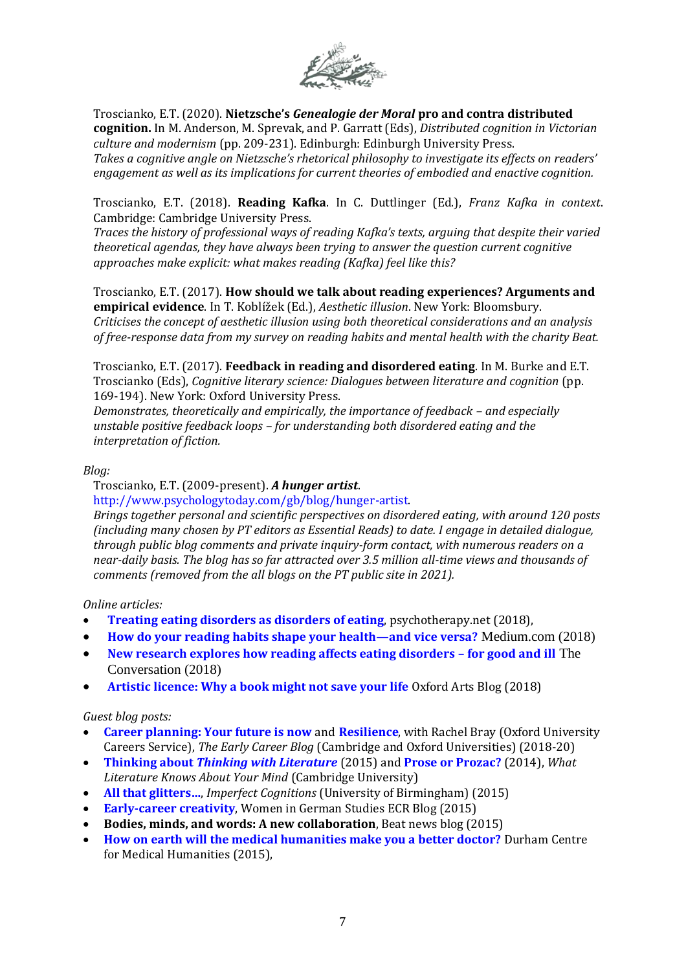

Troscianko, E.T. (2020). **Nietzsche's** *Genealogie der Moral* **pro and contra distributed cognition.** In M. Anderson, M. Sprevak, and P. Garratt (Eds), *Distributed cognition in Victorian culture and modernism* (pp. 209-231). Edinburgh: Edinburgh University Press. *Takes a cognitive angle on Nietzsche's rhetorical philosophy to investigate its effects on readers' engagement as well as its implications for current theories of embodied and enactive cognition.*

Troscianko, E.T. (2018). **Reading Kafka**. In C. Duttlinger (Ed.), *Franz Kafka in context*. Cambridge: Cambridge University Press.

*Traces the history of professional ways of reading Kafka's texts, arguing that despite their varied theoretical agendas, they have always been trying to answer the question current cognitive approaches make explicit: what makes reading (Kafka) feel like this?* 

Troscianko, E.T. (2017). **How should we talk about reading experiences? Arguments and empirical evidence**. In T. Koblížek (Ed.), *Aesthetic illusion*. New York: Bloomsbury. *Criticises the concept of aesthetic illusion using both theoretical considerations and an analysis of free-response data from my survey on reading habits and mental health with the charity Beat.*

Troscianko, E.T. (2017). **Feedback in reading and disordered eating**. In M. Burke and E.T. Troscianko (Eds), *Cognitive literary science: Dialogues between literature and cognition* (pp. 169-194). New York: Oxford University Press.

*Demonstrates, theoretically and empirically, the importance of feedback – and especially unstable positive feedback loops – for understanding both disordered eating and the interpretation of fiction.*

### *Blog:*

Troscianko, E.T. (2009-present). *A hunger artist*.

[http://www.psychologytoday.com/gb/blog/hunger-artist.](http://www.psychologytoday.com/gb/blog/hunger-artist)

*Brings together personal and scientific perspectives on disordered eating, with around 120 posts (including many chosen by PT editors as Essential Reads) to date. I engage in detailed dialogue, through public blog comments and private inquiry-form contact, with numerous readers on a near-daily basis. The blog has so far attracted over 3.5 million all-time views and thousands of comments (removed from the all blogs on the PT public site in 2021).*

*Online articles:*

- **[Treating eating disorders as disorders of eating](http://www.psychotherapy.net/blog/title/treating-eating-disorders-as-disorders-of-eating)**, psychotherapy.net (2018),
- **[How do your reading habits shape your health](https://medium.com/oxford-university/how-do-your-reading-habits-shape-your-health-and-vice-versa-2004d38e1039)—and vice versa?** Medium.com (2018)
- **[New research explores how reading affects eating disorders](https://theconversation.com/new-research-explores-how-reading-affects-eating-disorders-for-good-and-ill-93040) – for good and ill** The Conversation (2018)
- **[Artistic licence: Why a book might not save your life](http://www.ox.ac.uk/news/arts-blog/artistic-licence-why-book-might-not-save-your-life)** Oxford Arts Blog (2018)

*Guest blog posts:*

- **[Career planning: Your future is now](http://earlycareerblog.blogspot.com/2020/06/career-planning-your-future-is-now.html)** and **[Resilience](http://earlycareerblog.blogspot.com/p/resilience.html)**, with Rachel Bray (Oxford University Careers Service), *The Early Career Blog* (Cambridge and Oxford Universities) (2018-20)
- **Thinking about** *[Thinking with Literature](http://www.english.cam.ac.uk/research/cogblog/?p=1384)* (2015) and **[Prose or Prozac?](http://www.english.cam.ac.uk/research/cogblog/?p=460)** (2014), *What Literature Knows About Your Mind* (Cambridge University)
- **[All that glitters…](http://imperfectcognitions.blogspot.co.uk/2015/06/all-that-glitters.html)**, *Imperfect Cognitions* (University of Birmingham) (2015)
- **[Early-career creativity](https://womeningermanstudies.wordpress.com/2015/12/01/ecr-blog-early-career-creativity/)**, Women in German Studies ECR Blog (2015)
- **Bodies, minds, and words: A new collaboration**, Beat news blog (2015)
- **[How on earth will the medical humanities make you a better doctor?](http://centreformedicalhumanities.org/how-on-earth-will-the-medical-humanities-make-you-a-better-doctor/)** Durham Centre for Medical Humanities (2015),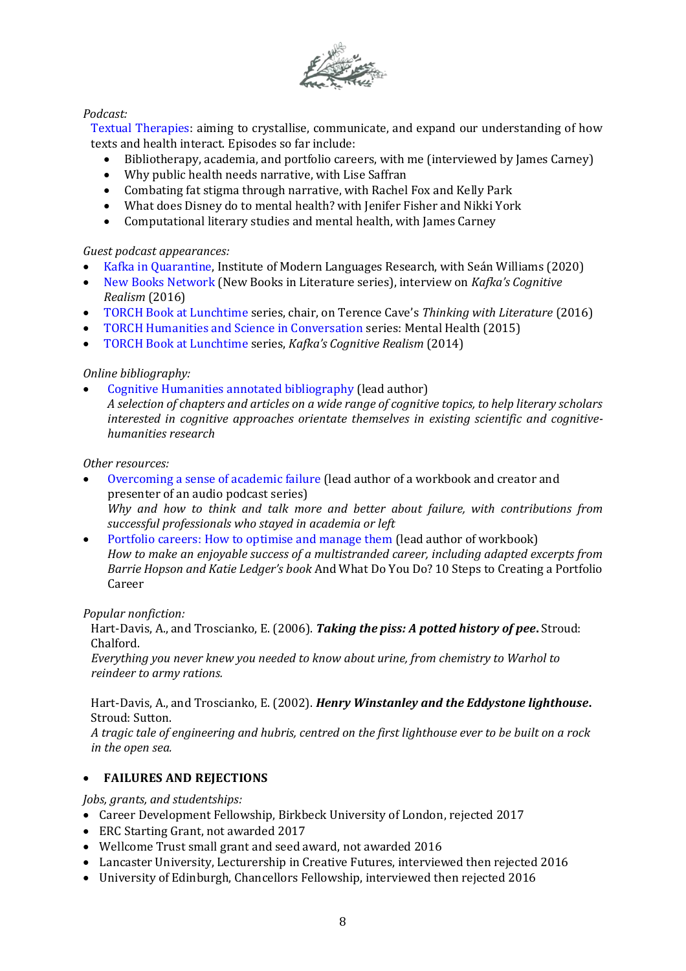

## *Podcast:*

[Textual Therapies:](https://troscianko.com/textual-therapies/) aiming to crystallise, communicate, and expand our understanding of how texts and health interact. Episodes so far include:

- Bibliotherapy, academia, and portfolio careers, with me (interviewed by James Carney)
- Why public health needs narrative, with Lise Saffran
- Combating fat stigma through narrative, with Rachel Fox and Kelly Park
- What does Disney do to mental health? with Jenifer Fisher and Nikki York
- Computational literary studies and mental health, with James Carney

## *Guest podcast appearances:*

- [Kafka in Quarantine,](https://www.sas.ac.uk/videos-and-podcasts/culture-language-and-literature/kafka-quarantine) Institute of Modern Languages Research, with Seán Williams (2020)
- [New Books Network](https://newbooksnetwork.com/emily-troscianko-kafkas-cognitive-realism-routledge-2014/) (New Books in Literature series), interview on *Kafka's Cognitive Realism* (2016)
- [TORCH Book at Lunchtime](https://podcasts.ox.ac.uk/thinking-literature) series, chair, on Terence Cave's *Thinking with Literature* (2016)
- [TORCH Humanities and Science in Conversation](http://podcasts.ox.ac.uk/humanities-and-science-mental-health) series: Mental Health (2015)
- [TORCH Book at Lunchtime](https://podcasts.ox.ac.uk/kafkas-cognitive-realism) series, *Kafka's Cognitive Realism* (2014)

## *Online bibliography:*

• Cognitive Humanities [annotated bibliography](https://cognitiveclassics.blogs.sas.ac.uk/cognitive-humanities-bibliography/) (lead author) *A selection of chapters and articles on a wide range of cognitive topics, to help literary scholars interested in cognitive approaches orientate themselves in existing scientific and cognitivehumanities research*

### *Other resources:*

- [Overcoming a sense of academic failure](http://www.careers.ox.ac.uk/change-setbacks/) (lead author of a workbook and creator and presenter of an audio podcast series) *Why and how to think and talk more and better about failure, with contributions from successful professionals who stayed in academia or left*
- [Portfolio careers: How to optimise and manage them](http://www.careers.ox.ac.uk/freelancers/) (lead author of workbook) *How to make an enjoyable success of a multistranded career, including adapted excerpts from Barrie Hopson and Katie Ledger's book* And What Do You Do? 10 Steps to Creating a Portfolio Career

#### *Popular nonfiction:*

Hart-Davis, A., and Troscianko, E. (2006). *Taking the piss: A potted history of pee***.** Stroud: Chalford.

*Everything you never knew you needed to know about urine, from chemistry to Warhol to reindeer to army rations.*

Hart-Davis, A., and Troscianko, E. (2002). *Henry Winstanley and the Eddystone lighthouse***.** Stroud: Sutton.

*A tragic tale of engineering and hubris, centred on the first lighthouse ever to be built on a rock in the open sea.*

## • **FAILURES AND REJECTIONS**

*Jobs, grants, and studentships:*

- Career Development Fellowship, Birkbeck University of London, rejected 2017
- ERC Starting Grant, not awarded 2017
- Wellcome Trust small grant and seed award, not awarded 2016
- Lancaster University, Lecturership in Creative Futures, interviewed then rejected 2016
- University of Edinburgh, Chancellors Fellowship, interviewed then rejected 2016